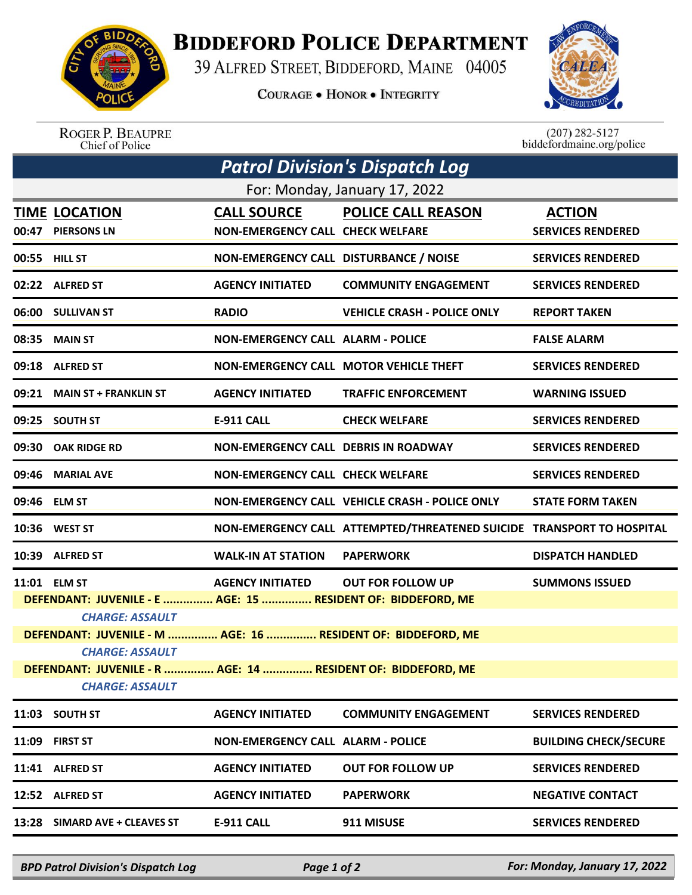

## **BIDDEFORD POLICE DEPARTMENT**

39 ALFRED STREET, BIDDEFORD, MAINE 04005

**COURAGE . HONOR . INTEGRITY** 



ROGER P. BEAUPRE<br>Chief of Police

 $(207)$  282-5127<br>biddefordmaine.org/police

| <b>Patrol Division's Dispatch Log</b>                                                  |                                            |                                                               |                                                                       |                                           |  |  |  |
|----------------------------------------------------------------------------------------|--------------------------------------------|---------------------------------------------------------------|-----------------------------------------------------------------------|-------------------------------------------|--|--|--|
| For: Monday, January 17, 2022                                                          |                                            |                                                               |                                                                       |                                           |  |  |  |
| 00:47                                                                                  | <b>TIME LOCATION</b><br><b>PIERSONS LN</b> | <b>CALL SOURCE</b><br><b>NON-EMERGENCY CALL CHECK WELFARE</b> | <b>POLICE CALL REASON</b>                                             | <b>ACTION</b><br><b>SERVICES RENDERED</b> |  |  |  |
|                                                                                        | 00:55 HILL ST                              | NON-EMERGENCY CALL DISTURBANCE / NOISE                        |                                                                       | <b>SERVICES RENDERED</b>                  |  |  |  |
|                                                                                        | 02:22 ALFRED ST                            | <b>AGENCY INITIATED</b>                                       | <b>COMMUNITY ENGAGEMENT</b>                                           | <b>SERVICES RENDERED</b>                  |  |  |  |
|                                                                                        | 06:00 SULLIVAN ST                          | <b>RADIO</b>                                                  | <b>VEHICLE CRASH - POLICE ONLY</b>                                    | <b>REPORT TAKEN</b>                       |  |  |  |
|                                                                                        | 08:35 MAIN ST                              | <b>NON-EMERGENCY CALL ALARM - POLICE</b>                      |                                                                       | <b>FALSE ALARM</b>                        |  |  |  |
|                                                                                        | 09:18 ALFRED ST                            |                                                               | NON-EMERGENCY CALL MOTOR VEHICLE THEFT                                | <b>SERVICES RENDERED</b>                  |  |  |  |
| 09:21                                                                                  | <b>MAIN ST + FRANKLIN ST</b>               | <b>AGENCY INITIATED</b>                                       | <b>TRAFFIC ENFORCEMENT</b>                                            | <b>WARNING ISSUED</b>                     |  |  |  |
| 09:25                                                                                  | <b>SOUTH ST</b>                            | <b>E-911 CALL</b>                                             | <b>CHECK WELFARE</b>                                                  | <b>SERVICES RENDERED</b>                  |  |  |  |
| 09:30                                                                                  | <b>OAK RIDGE RD</b>                        | <b>NON-EMERGENCY CALL DEBRIS IN ROADWAY</b>                   |                                                                       | <b>SERVICES RENDERED</b>                  |  |  |  |
| 09:46                                                                                  | <b>MARIAL AVE</b>                          | <b>NON-EMERGENCY CALL CHECK WELFARE</b>                       |                                                                       | <b>SERVICES RENDERED</b>                  |  |  |  |
|                                                                                        | 09:46 ELM ST                               |                                                               | NON-EMERGENCY CALL VEHICLE CRASH - POLICE ONLY                        | <b>STATE FORM TAKEN</b>                   |  |  |  |
|                                                                                        | 10:36 WEST ST                              |                                                               | NON-EMERGENCY CALL ATTEMPTED/THREATENED SUICIDE TRANSPORT TO HOSPITAL |                                           |  |  |  |
|                                                                                        | 10:39 ALFRED ST                            | <b>WALK-IN AT STATION</b>                                     | <b>PAPERWORK</b>                                                      | <b>DISPATCH HANDLED</b>                   |  |  |  |
|                                                                                        | 11:01 ELM ST                               | <b>AGENCY INITIATED</b>                                       | <b>OUT FOR FOLLOW UP</b>                                              | <b>SUMMONS ISSUED</b>                     |  |  |  |
| DEFENDANT: JUVENILE - E  AGE: 15  RESIDENT OF: BIDDEFORD, ME                           |                                            |                                                               |                                                                       |                                           |  |  |  |
| <b>CHARGE: ASSAULT</b>                                                                 |                                            |                                                               |                                                                       |                                           |  |  |  |
| DEFENDANT: JUVENILE - M  AGE: 16  RESIDENT OF: BIDDEFORD, ME                           |                                            |                                                               |                                                                       |                                           |  |  |  |
| <b>CHARGE: ASSAULT</b>                                                                 |                                            |                                                               |                                                                       |                                           |  |  |  |
| DEFENDANT: JUVENILE - R  AGE: 14  RESIDENT OF: BIDDEFORD, ME<br><b>CHARGE: ASSAULT</b> |                                            |                                                               |                                                                       |                                           |  |  |  |
|                                                                                        | 11:03 SOUTH ST                             | <b>AGENCY INITIATED</b>                                       | <b>COMMUNITY ENGAGEMENT</b>                                           | <b>SERVICES RENDERED</b>                  |  |  |  |
| 11:09                                                                                  | <b>FIRST ST</b>                            | <b>NON-EMERGENCY CALL ALARM - POLICE</b>                      |                                                                       | <b>BUILDING CHECK/SECURE</b>              |  |  |  |
|                                                                                        | 11:41 ALFRED ST                            | <b>AGENCY INITIATED</b>                                       | <b>OUT FOR FOLLOW UP</b>                                              | <b>SERVICES RENDERED</b>                  |  |  |  |
|                                                                                        | 12:52 ALFRED ST                            | <b>AGENCY INITIATED</b>                                       | <b>PAPERWORK</b>                                                      | <b>NEGATIVE CONTACT</b>                   |  |  |  |
| 13:28                                                                                  | SIMARD AVE + CLEAVES ST                    | <b>E-911 CALL</b>                                             | 911 MISUSE                                                            | <b>SERVICES RENDERED</b>                  |  |  |  |
|                                                                                        |                                            |                                                               |                                                                       |                                           |  |  |  |

*BPD Patrol Division's Dispatch Log Page 1 of 2 For: Monday, January 17, 2022*